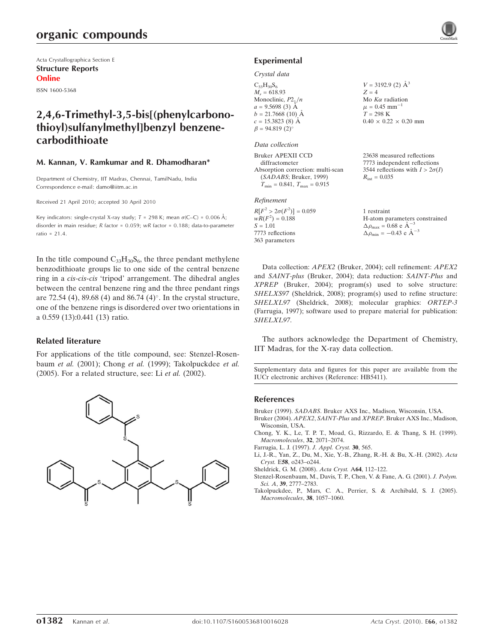## organic compounds

Acta Crystallographica Section E Structure Reports Online

ISSN 1600-5368

## 2,4,6-Trimethyl-3,5-bis[(phenylcarbonothioyl)sulfanylmethyl]benzyl benzenecarbodithioate

### M. Kannan, V. Ramkumar and R. Dhamodharan\*

Department of Chemistry, IIT Madras, Chennai, TamilNadu, India Correspondence e-mail: damo@iitm.ac.in

Received 21 April 2010; accepted 30 April 2010

Key indicators: single-crystal X-ray study;  $T = 298$  K; mean  $\sigma$ (C–C) = 0.006 Å; disorder in main residue;  $R$  factor = 0.059;  $wR$  factor = 0.188; data-to-parameter ratio = 21.4.

In the title compound  $C_{33}H_{30}S_6$ , the three pendant methylene benzodithioate groups lie to one side of the central benzene ring in a cis-cis-cis 'tripod' arrangement. The dihedral angles between the central benzene ring and the three pendant rings are  $72.54$  (4),  $89.68$  (4) and  $86.74$  (4) $^{\circ}$ . In the crystal structure, one of the benzene rings is disordered over two orientations in a 0.559 (13):0.441 (13) ratio.

### Related literature

For applications of the title compound, see: Stenzel-Rosenbaum et al. (2001); Chong et al. (1999); Takolpuckdee et al. (2005). For a related structure, see: Li et al. (2002).



### Experimental

### Crystal data

 $C_{33}H_{30}S_6$  $M_r = 618.93$ Monoclinic,  $P2_1/n$  $a = 9.5698(3)$  Å  $b = 21.7668(10)$  Å  $c = 15.3823(8)$  Å  $\beta = 94.819(2)$ <sup>o</sup>

### Data collection

Bruker APEXII CCD diffractometer Absorption correction: multi-scan (SADABS; Bruker, 1999)  $T_{\text{min}} = 0.841, T_{\text{max}} = 0.915$ 

### Refinement

 $R[F^2 > 2\sigma(F^2)] = 0.059$  $wR(F^2) = 0.188$  $S = 1.01$ 7773 reflections 363 parameters

 $V = 3192.9$  (2)  $\AA^3$  $Z = 4$ Mo  $K\alpha$  radiation  $\mu = 0.45$  mm<sup>-1</sup>  $T = 298 \text{ K}$  $0.40 \times 0.22 \times 0.20$  mm

23638 measured reflections 7773 independent reflections 3544 reflections with  $I > 2\sigma(I)$  $R_{\text{int}} = 0.035$ 

1 restraint H-atom parameters constrained  $\Delta \rho_{\text{max}} = 0.68 \text{ e A}^{-3}$  $\Delta \rho_{\rm min} = -0.43 \text{ e } \text{\AA}^{-3}$ 

Data collection: APEX2 (Bruker, 2004); cell refinement: APEX2 and SAINT-plus (Bruker, 2004); data reduction: SAINT-Plus and XPREP (Bruker, 2004); program(s) used to solve structure: SHELXS97 (Sheldrick, 2008); program(s) used to refine structure: SHELXL97 (Sheldrick, 2008); molecular graphics: ORTEP-3 (Farrugia, 1997); software used to prepare material for publication: SHELXL97.

The authors acknowledge the Department of Chemistry, IIT Madras, for the X-ray data collection.

Supplementary data and figures for this paper are available from the IUCr electronic archives (Reference: HB5411).

### References

Bruker (1999). SADABS[. Bruker AXS Inc., Madison, Wisconsin, USA.](http://scripts.iucr.org/cgi-bin/cr.cgi?rm=pdfbb&cnor=hb5411&bbid=BB1)

- Bruker (2004). APEX2, SAINT-Plus and XPREP[. Bruker AXS Inc., Madison,](http://scripts.iucr.org/cgi-bin/cr.cgi?rm=pdfbb&cnor=hb5411&bbid=BB2) [Wisconsin, USA.](http://scripts.iucr.org/cgi-bin/cr.cgi?rm=pdfbb&cnor=hb5411&bbid=BB2)
- [Chong, Y. K., Le, T. P. T., Moad, G., Rizzardo, E. & Thang, S. H. \(1999\).](http://scripts.iucr.org/cgi-bin/cr.cgi?rm=pdfbb&cnor=hb5411&bbid=BB3) [Macromolecules](http://scripts.iucr.org/cgi-bin/cr.cgi?rm=pdfbb&cnor=hb5411&bbid=BB3), 32, 2071–2074.
- [Farrugia, L. J. \(1997\).](http://scripts.iucr.org/cgi-bin/cr.cgi?rm=pdfbb&cnor=hb5411&bbid=BB4) J. Appl. Cryst. 30, 565.
- [Li, J.-R., Yan, Z., Du, M., Xie, Y.-B., Zhang, R.-H. & Bu, X.-H. \(2002\).](http://scripts.iucr.org/cgi-bin/cr.cgi?rm=pdfbb&cnor=hb5411&bbid=BB5) Acta Cryst. E58[, o243–o244.](http://scripts.iucr.org/cgi-bin/cr.cgi?rm=pdfbb&cnor=hb5411&bbid=BB5)
- [Sheldrick, G. M. \(2008\).](http://scripts.iucr.org/cgi-bin/cr.cgi?rm=pdfbb&cnor=hb5411&bbid=BB6) Acta Cryst. A64, 112–122.
- [Stenzel-Rosenbaum, M., Davis, T. P., Chen, V. & Fane, A. G. \(2001\).](http://scripts.iucr.org/cgi-bin/cr.cgi?rm=pdfbb&cnor=hb5411&bbid=BB7) J. Polym. Sci. A, 39[, 2777–2783.](http://scripts.iucr.org/cgi-bin/cr.cgi?rm=pdfbb&cnor=hb5411&bbid=BB7)
- [Takolpuckdee, P., Mars, C. A., Perrier, S. & Archibald, S. J. \(2005\).](http://scripts.iucr.org/cgi-bin/cr.cgi?rm=pdfbb&cnor=hb5411&bbid=BB8) [Macromolecules](http://scripts.iucr.org/cgi-bin/cr.cgi?rm=pdfbb&cnor=hb5411&bbid=BB8), 38, 1057–1060.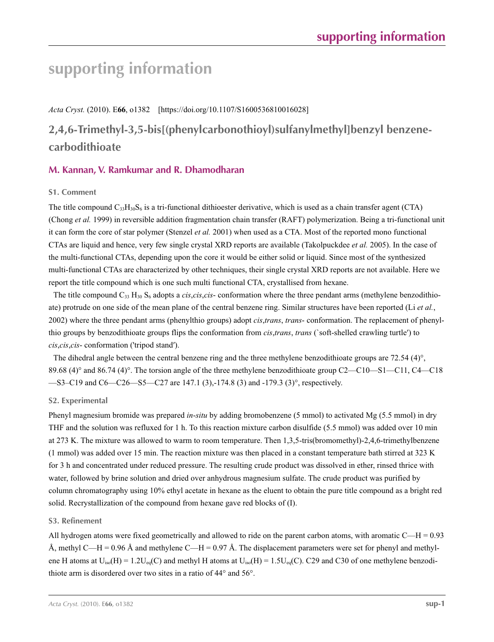# **supporting information**

*Acta Cryst.* (2010). E**66**, o1382 [https://doi.org/10.1107/S1600536810016028]

# **2,4,6-Trimethyl-3,5-bis[(phenylcarbonothioyl)sulfanylmethyl]benzyl benzenecarbodithioate**

## **M. Kannan, V. Ramkumar and R. Dhamodharan**

## **S1. Comment**

The title compound  $C_{33}H_{30}S_6$  is a tri-functional dithioester derivative, which is used as a chain transfer agent (CTA) (Chong *et al.* 1999) in reversible addition fragmentation chain transfer (RAFT) polymerization. Being a tri-functional unit it can form the core of star polymer (Stenzel *et al.* 2001) when used as a CTA. Most of the reported mono functional CTAs are liquid and hence, very few single crystal XRD reports are available (Takolpuckdee *et al.* 2005). In the case of the multi-functional CTAs, depending upon the core it would be either solid or liquid. Since most of the synthesized multi-functional CTAs are characterized by other techniques, their single crystal XRD reports are not available. Here we report the title compound which is one such multi functional CTA, crystallised from hexane.

The title compound  $C_{33} H_{30} S_6$  adopts a *cis,cis,cis*- conformation where the three pendant arms (methylene benzodithioate) protrude on one side of the mean plane of the central benzene ring. Similar structures have been reported (Li *et al.*, 2002) where the three pendant arms (phenylthio groups) adopt *cis*,*trans*, *trans*- conformation. The replacement of phenylthio groups by benzodithioate groups flips the conformation from *cis*,*trans*, *trans* (`soft-shelled crawling turtle′) to *cis*,*cis*,*cis*- conformation ('tripod stand′).

The dihedral angle between the central benzene ring and the three methylene benzodithioate groups are 72.54 (4)°, 89.68 (4)° and 86.74 (4)°. The torsion angle of the three methylene benzodithioate group C2—C10—S1—C11, C4—C18 —S3–C19 and C6—C26—S5—C27 are 147.1 (3),-174.8 (3) and -179.3 (3)°, respectively.

## **S2. Experimental**

Phenyl magnesium bromide was prepared *in*-*situ* by adding bromobenzene (5 mmol) to activated Mg (5.5 mmol) in dry THF and the solution was refluxed for 1 h. To this reaction mixture carbon disulfide (5.5 mmol) was added over 10 min at 273 K. The mixture was allowed to warm to room temperature. Then 1,3,5-tris(bromomethyl)-2,4,6-trimethylbenzene (1 mmol) was added over 15 min. The reaction mixture was then placed in a constant temperature bath stirred at 323 K for 3 h and concentrated under reduced pressure. The resulting crude product was dissolved in ether, rinsed thrice with water, followed by brine solution and dried over anhydrous magnesium sulfate. The crude product was purified by column chromatography using 10% ethyl acetate in hexane as the eluent to obtain the pure title compound as a bright red solid. Recrystallization of the compound from hexane gave red blocks of (I).

## **S3. Refinement**

All hydrogen atoms were fixed geometrically and allowed to ride on the parent carbon atoms, with aromatic  $C$ —H = 0.93 Å, methyl C—H = 0.96 Å and methylene C—H = 0.97 Å. The displacement parameters were set for phenyl and methylene H atoms at  $U_{iso}(H) = 1.2U_{eq}(C)$  and methyl H atoms at  $U_{iso}(H) = 1.5U_{eq}(C)$ . C29 and C30 of one methylene benzodithiote arm is disordered over two sites in a ratio of 44° and 56°.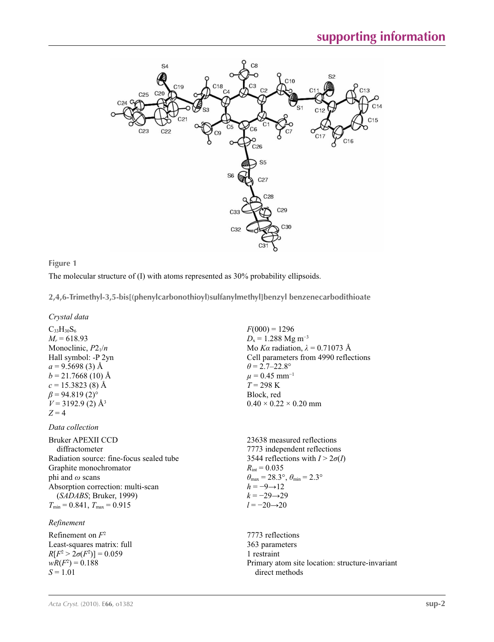

## **Figure 1**

The molecular structure of (I) with atoms represented as 30% probability ellipsoids.

**2,4,6-Trimethyl-3,5-bis[(phenylcarbonothioyl)sulfanylmethyl]benzyl benzenecarbodithioate** 

*Crystal data*

 $C_{33}H_{30}S_6$  $M_r = 618.93$ Monoclinic, *P*21/*n* Hall symbol: -P 2yn  $a = 9.5698(3)$  Å  $b = 21.7668(10)$  Å  $c = 15.3823(8)$  Å  $\beta$  = 94.819 (2)<sup>o</sup>  $V = 3192.9$  (2)  $\AA^3$  $Z = 4$ 

*Data collection*

Bruker APEXII CCD diffractometer Radiation source: fine-focus sealed tube Graphite monochromator phi and *ω* scans Absorption correction: multi-scan (*SADABS*; Bruker, 1999)  $T_{\text{min}} = 0.841$ ,  $T_{\text{max}} = 0.915$ 

*Refinement*

Refinement on *F*<sup>2</sup> Least-squares matrix: full  $R[F^2 > 2\sigma(F^2)] = 0.059$  $wR(F^2) = 0.188$ *S* = 1.01

 $F(000) = 1296$  $D_x = 1.288$  Mg m<sup>-3</sup> Mo *Kα* radiation, *λ* = 0.71073 Å Cell parameters from 4990 reflections  $\theta$  = 2.7–22.8°  $\mu = 0.45$  mm<sup>-1</sup> *T* = 298 K Block, red  $0.40 \times 0.22 \times 0.20$  mm

23638 measured reflections 7773 independent reflections 3544 reflections with  $I > 2\sigma(I)$  $R_{\text{int}} = 0.035$  $\theta_{\text{max}} = 28.3^{\circ}, \theta_{\text{min}} = 2.3^{\circ}$  $h = -9 \rightarrow 12$  $k = -29 \rightarrow 29$ *l* = −20→20

7773 reflections 363 parameters 1 restraint Primary atom site location: structure-invariant direct methods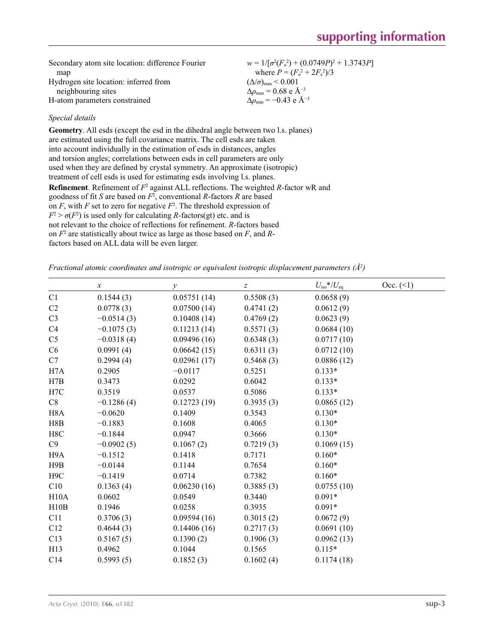| Secondary atom site location: difference Fourier | $w = 1/[\sigma^2(F_0^2) + (0.0749P)^2 + 1.3743P]$ |
|--------------------------------------------------|---------------------------------------------------|
| map                                              | where $P = (F_o^2 + 2F_c^2)/3$                    |
| Hydrogen site location: inferred from            | $(\Delta/\sigma)_{\text{max}}$ < 0.001            |
| neighbouring sites                               | $\Delta\rho_{\rm max} = 0.68$ e Å <sup>-3</sup>   |
| H-atom parameters constrained                    | $\Delta\rho_{\rm min} = -0.43$ e Å <sup>-3</sup>  |

## *Special details*

**Geometry**. All esds (except the esd in the dihedral angle between two l.s. planes) are estimated using the full covariance matrix. The cell esds are taken into account individually in the estimation of esds in distances, angles and torsion angles; correlations between esds in cell parameters are only used when they are defined by crystal symmetry. An approximate (isotropic) treatment of cell esds is used for estimating esds involving l.s. planes. **Refinement**. Refinement of  $F^2$  against ALL reflections. The weighted *R*-factor wR and goodness of fit *S* are based on *F*<sup>2</sup> , conventional *R*-factors *R* are based on  $F$ , with  $F$  set to zero for negative  $F^2$ . The threshold expression of  $F^2 > \sigma(F^2)$  is used only for calculating *R*-factors(gt) etc. and is not relevant to the choice of reflections for refinement. *R*-factors based on *F*<sup>2</sup> are statistically about twice as large as those based on *F*, and *R*factors based on ALL data will be even larger.

*Fractional atomic coordinates and isotropic or equivalent isotropic displacement parameters (Å2 )*

|                  | $\boldsymbol{\chi}$ | у           | $\boldsymbol{Z}$ | $U_{\rm iso}*/U_{\rm eq}$ | Occ. (2) |
|------------------|---------------------|-------------|------------------|---------------------------|----------|
| C1               | 0.1544(3)           | 0.05751(14) | 0.5508(3)        | 0.0658(9)                 |          |
| C2               | 0.0778(3)           | 0.07500(14) | 0.4741(2)        | 0.0612(9)                 |          |
| C <sub>3</sub>   | $-0.0514(3)$        | 0.10408(14) | 0.4769(2)        | 0.0623(9)                 |          |
| C <sub>4</sub>   | $-0.1075(3)$        | 0.11213(14) | 0.5571(3)        | 0.0684(10)                |          |
| C <sub>5</sub>   | $-0.0318(4)$        | 0.09496(16) | 0.6348(3)        | 0.0717(10)                |          |
| C6               | 0.0991(4)           | 0.06642(15) | 0.6311(3)        | 0.0712(10)                |          |
| C7               | 0.2994(4)           | 0.02961(17) | 0.5468(3)        | 0.0886(12)                |          |
| H7A              | 0.2905              | $-0.0117$   | 0.5251           | $0.133*$                  |          |
| H7B              | 0.3473              | 0.0292      | 0.6042           | $0.133*$                  |          |
| H7C              | 0.3519              | 0.0537      | 0.5086           | $0.133*$                  |          |
| C8               | $-0.1286(4)$        | 0.12723(19) | 0.3935(3)        | 0.0865(12)                |          |
| H <sub>8</sub> A | $-0.0620$           | 0.1409      | 0.3543           | $0.130*$                  |          |
| H8B              | $-0.1883$           | 0.1608      | 0.4065           | $0.130*$                  |          |
| H8C              | $-0.1844$           | 0.0947      | 0.3666           | $0.130*$                  |          |
| C9               | $-0.0902(5)$        | 0.1067(2)   | 0.7219(3)        | 0.1069(15)                |          |
| H <sub>9</sub> A | $-0.1512$           | 0.1418      | 0.7171           | $0.160*$                  |          |
| H9B              | $-0.0144$           | 0.1144      | 0.7654           | $0.160*$                  |          |
| H <sub>9</sub> C | $-0.1419$           | 0.0714      | 0.7382           | $0.160*$                  |          |
| C10              | 0.1363(4)           | 0.06230(16) | 0.3885(3)        | 0.0755(10)                |          |
| H10A             | 0.0602              | 0.0549      | 0.3440           | $0.091*$                  |          |
| H10B             | 0.1946              | 0.0258      | 0.3935           | $0.091*$                  |          |
| C11              | 0.3706(3)           | 0.09594(16) | 0.3015(2)        | 0.0672(9)                 |          |
| C12              | 0.4644(3)           | 0.14406(16) | 0.2717(3)        | 0.0691(10)                |          |
| C13              | 0.5167(5)           | 0.1390(2)   | 0.1906(3)        | 0.0962(13)                |          |
| H13              | 0.4962              | 0.1044      | 0.1565           | $0.115*$                  |          |
| C14              | 0.5993(5)           | 0.1852(3)   | 0.1602(4)        | 0.1174(18)                |          |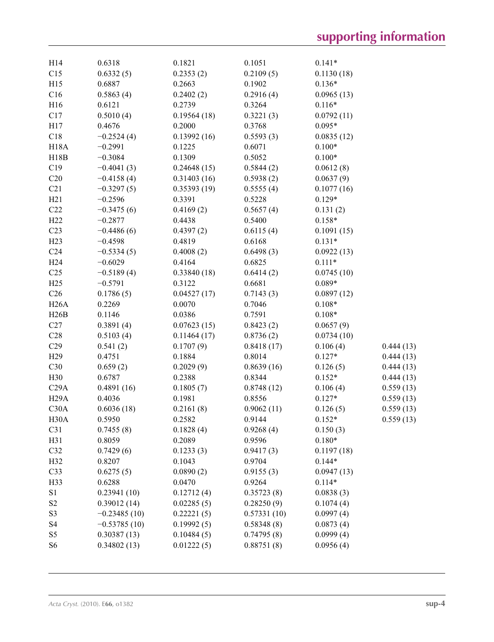| H14               | 0.6318         | 0.1821      | 0.1051      | $0.141*$   |           |
|-------------------|----------------|-------------|-------------|------------|-----------|
| C15               | 0.6332(5)      | 0.2353(2)   | 0.2109(5)   | 0.1130(18) |           |
| H15               | 0.6887         | 0.2663      | 0.1902      | $0.136*$   |           |
| C16               | 0.5863(4)      | 0.2402(2)   | 0.2916(4)   | 0.0965(13) |           |
| H16               | 0.6121         | 0.2739      | 0.3264      | $0.116*$   |           |
| C17               | 0.5010(4)      | 0.19564(18) | 0.3221(3)   | 0.0792(11) |           |
| H17               | 0.4676         | 0.2000      | 0.3768      | $0.095*$   |           |
| C18               | $-0.2524(4)$   | 0.13992(16) | 0.5593(3)   | 0.0835(12) |           |
| <b>H18A</b>       | $-0.2991$      | 0.1225      | 0.6071      | $0.100*$   |           |
| H18B              | $-0.3084$      | 0.1309      | 0.5052      | $0.100*$   |           |
| C19               | $-0.4041(3)$   | 0.24648(15) | 0.5844(2)   | 0.0612(8)  |           |
| C20               | $-0.4158(4)$   | 0.31403(16) | 0.5938(2)   | 0.0637(9)  |           |
| C21               | $-0.3297(5)$   | 0.35393(19) | 0.5555(4)   | 0.1077(16) |           |
| H21               | $-0.2596$      | 0.3391      | 0.5228      | $0.129*$   |           |
| C22               | $-0.3475(6)$   | 0.4169(2)   | 0.5657(4)   | 0.131(2)   |           |
| H <sub>22</sub>   | $-0.2877$      | 0.4438      | 0.5400      | $0.158*$   |           |
| C <sub>23</sub>   | $-0.4486(6)$   | 0.4397(2)   | 0.6115(4)   | 0.1091(15) |           |
| H23               | $-0.4598$      | 0.4819      | 0.6168      | $0.131*$   |           |
| C <sub>24</sub>   | $-0.5334(5)$   | 0.4008(2)   | 0.6498(3)   | 0.0922(13) |           |
| H <sub>24</sub>   | $-0.6029$      | 0.4164      | 0.6825      | $0.111*$   |           |
| C <sub>25</sub>   | $-0.5189(4)$   | 0.33840(18) | 0.6414(2)   | 0.0745(10) |           |
| H25               | $-0.5791$      | 0.3122      | 0.6681      | $0.089*$   |           |
| C <sub>26</sub>   | 0.1786(5)      | 0.04527(17) | 0.7143(3)   | 0.0897(12) |           |
| H26A              | 0.2269         | 0.0070      | 0.7046      | $0.108*$   |           |
| H26B              | 0.1146         | 0.0386      | 0.7591      | $0.108*$   |           |
| C27               | 0.3891(4)      | 0.07623(15) | 0.8423(2)   | 0.0657(9)  |           |
| C28               | 0.5103(4)      | 0.11464(17) | 0.8736(2)   | 0.0734(10) |           |
| C29               | 0.541(2)       | 0.1707(9)   | 0.8418(17)  | 0.106(4)   | 0.444(13) |
| H <sub>29</sub>   | 0.4751         | 0.1884      | 0.8014      | $0.127*$   | 0.444(13) |
| C30               | 0.659(2)       | 0.2029(9)   | 0.8639(16)  | 0.126(5)   | 0.444(13) |
| H30               | 0.6787         | 0.2388      | 0.8344      | $0.152*$   | 0.444(13) |
| C29A              | 0.4891(16)     | 0.1805(7)   | 0.8748(12)  | 0.106(4)   | 0.559(13) |
| H <sub>29</sub> A | 0.4036         | 0.1981      | 0.8556      | $0.127*$   | 0.559(13) |
| C30A              | 0.6036(18)     | 0.2161(8)   | 0.9062(11)  | 0.126(5)   | 0.559(13) |
| H <sub>30</sub> A | 0.5950         | 0.2582      | 0.9144      | $0.152*$   | 0.559(13) |
| C31               | 0.7455(8)      | 0.1828(4)   | 0.9268(4)   | 0.150(3)   |           |
| H31               | 0.8059         | 0.2089      | 0.9596      | $0.180*$   |           |
| C32               | 0.7429(6)      | 0.1233(3)   | 0.9417(3)   | 0.1197(18) |           |
| H32               | 0.8207         | 0.1043      | 0.9704      | $0.144*$   |           |
| C33               | 0.6275(5)      | 0.0890(2)   | 0.9155(3)   | 0.0947(13) |           |
| H33               | 0.6288         | 0.0470      | 0.9264      | $0.114*$   |           |
| S1                | 0.23941(10)    | 0.12712(4)  | 0.35723(8)  | 0.0838(3)  |           |
| S <sub>2</sub>    | 0.39012(14)    | 0.02285(5)  | 0.28250(9)  | 0.1074(4)  |           |
| S3                | $-0.23485(10)$ | 0.22221(5)  | 0.57331(10) | 0.0997(4)  |           |
| S <sub>4</sub>    | $-0.53785(10)$ | 0.19992(5)  | 0.58348(8)  | 0.0873(4)  |           |
| S <sub>5</sub>    | 0.30387(13)    | 0.10484(5)  | 0.74795(8)  | 0.0999(4)  |           |
| S <sub>6</sub>    | 0.34802(13)    | 0.01222(5)  | 0.88751(8)  | 0.0956(4)  |           |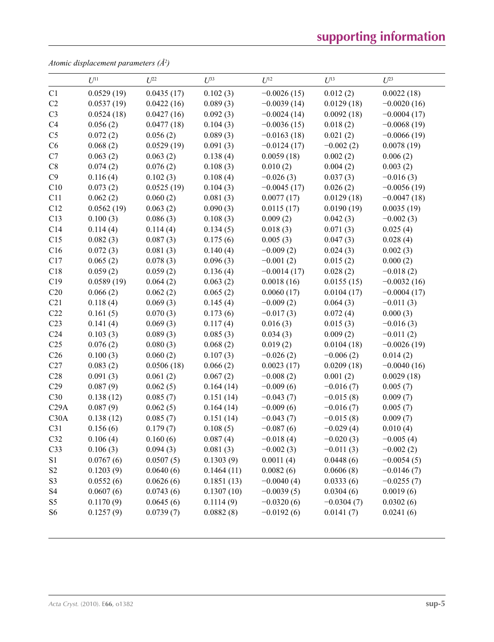# **supporting information**

*Atomic displacement parameters (Å2 )*

|                 | $U^{11}$   | $U^{22}$   | $U^{33}$   | $U^{12}$      | $U^{13}$     | $U^{23}$      |
|-----------------|------------|------------|------------|---------------|--------------|---------------|
| C1              | 0.0529(19) | 0.0435(17) | 0.102(3)   | $-0.0026(15)$ | 0.012(2)     | 0.0022(18)    |
| C2              | 0.0537(19) | 0.0422(16) | 0.089(3)   | $-0.0039(14)$ | 0.0129(18)   | $-0.0020(16)$ |
| C <sub>3</sub>  | 0.0524(18) | 0.0427(16) | 0.092(3)   | $-0.0024(14)$ | 0.0092(18)   | $-0.0004(17)$ |
| C4              | 0.056(2)   | 0.0477(18) | 0.104(3)   | $-0.0036(15)$ | 0.018(2)     | $-0.0068(19)$ |
| C <sub>5</sub>  | 0.072(2)   | 0.056(2)   | 0.089(3)   | $-0.0163(18)$ | 0.021(2)     | $-0.0066(19)$ |
| C6              | 0.068(2)   | 0.0529(19) | 0.091(3)   | $-0.0124(17)$ | $-0.002(2)$  | 0.0078(19)    |
| C7              | 0.063(2)   | 0.063(2)   | 0.138(4)   | 0.0059(18)    | 0.002(2)     | 0.006(2)      |
| C8              | 0.074(2)   | 0.076(2)   | 0.108(3)   | 0.010(2)      | 0.004(2)     | 0.003(2)      |
| C9              | 0.116(4)   | 0.102(3)   | 0.108(4)   | $-0.026(3)$   | 0.037(3)     | $-0.016(3)$   |
| C10             | 0.073(2)   | 0.0525(19) | 0.104(3)   | $-0.0045(17)$ | 0.026(2)     | $-0.0056(19)$ |
| C11             | 0.062(2)   | 0.060(2)   | 0.081(3)   | 0.0077(17)    | 0.0129(18)   | $-0.0047(18)$ |
| C12             | 0.0562(19) | 0.063(2)   | 0.090(3)   | 0.0115(17)    | 0.0190(19)   | 0.0035(19)    |
| C13             | 0.100(3)   | 0.086(3)   | 0.108(3)   | 0.009(2)      | 0.042(3)     | $-0.002(3)$   |
| C14             | 0.114(4)   | 0.114(4)   | 0.134(5)   | 0.018(3)      | 0.071(3)     | 0.025(4)      |
| C15             | 0.082(3)   | 0.087(3)   | 0.175(6)   | 0.005(3)      | 0.047(3)     | 0.028(4)      |
| C16             | 0.072(3)   | 0.081(3)   | 0.140(4)   | $-0.009(2)$   | 0.024(3)     | 0.002(3)      |
| C17             | 0.065(2)   | 0.078(3)   | 0.096(3)   | $-0.001(2)$   | 0.015(2)     | 0.000(2)      |
| C18             | 0.059(2)   | 0.059(2)   | 0.136(4)   | $-0.0014(17)$ | 0.028(2)     | $-0.018(2)$   |
| C19             | 0.0589(19) | 0.064(2)   | 0.063(2)   | 0.0018(16)    | 0.0155(15)   | $-0.0032(16)$ |
| C20             | 0.066(2)   | 0.062(2)   | 0.065(2)   | 0.0060(17)    | 0.0104(17)   | $-0.0004(17)$ |
| C21             | 0.118(4)   | 0.069(3)   | 0.145(4)   | $-0.009(2)$   | 0.064(3)     | $-0.011(3)$   |
| C22             | 0.161(5)   | 0.070(3)   | 0.173(6)   | $-0.017(3)$   | 0.072(4)     | 0.000(3)      |
| C <sub>23</sub> | 0.141(4)   | 0.069(3)   | 0.117(4)   | 0.016(3)      | 0.015(3)     | $-0.016(3)$   |
| C <sub>24</sub> | 0.103(3)   | 0.089(3)   | 0.085(3)   | 0.034(3)      | 0.009(2)     | $-0.011(2)$   |
| C <sub>25</sub> | 0.076(2)   | 0.080(3)   | 0.068(2)   | 0.019(2)      | 0.0104(18)   | $-0.0026(19)$ |
| C <sub>26</sub> | 0.100(3)   | 0.060(2)   | 0.107(3)   | $-0.026(2)$   | $-0.006(2)$  | 0.014(2)      |
| C27             | 0.083(2)   | 0.0506(18) | 0.066(2)   | 0.0023(17)    | 0.0209(18)   | $-0.0040(16)$ |
| C28             | 0.091(3)   | 0.061(2)   | 0.067(2)   | $-0.008(2)$   | 0.001(2)     | 0.0029(18)    |
| C29             | 0.087(9)   | 0.062(5)   | 0.164(14)  | $-0.009(6)$   | $-0.016(7)$  | 0.005(7)      |
| C30             | 0.138(12)  | 0.085(7)   | 0.151(14)  | $-0.043(7)$   | $-0.015(8)$  | 0.009(7)      |
| C29A            | 0.087(9)   | 0.062(5)   | 0.164(14)  | $-0.009(6)$   | $-0.016(7)$  | 0.005(7)      |
| C30A            | 0.138(12)  | 0.085(7)   | 0.151(14)  | $-0.043(7)$   | $-0.015(8)$  | 0.009(7)      |
| C31             | 0.156(6)   | 0.179(7)   | 0.108(5)   | $-0.087(6)$   | $-0.029(4)$  | 0.010(4)      |
| C <sub>32</sub> | 0.106(4)   | 0.160(6)   | 0.087(4)   | $-0.018(4)$   | $-0.020(3)$  | $-0.005(4)$   |
| C33             | 0.106(3)   | 0.094(3)   | 0.081(3)   | $-0.002(3)$   | $-0.011(3)$  | $-0.002(2)$   |
| S1              | 0.0767(6)  | 0.0507(5)  | 0.1303(9)  | 0.0011(4)     | 0.0448(6)    | $-0.0054(5)$  |
| S <sub>2</sub>  | 0.1203(9)  | 0.0640(6)  | 0.1464(11) | 0.0082(6)     | 0.0606(8)    | $-0.0146(7)$  |
| S <sub>3</sub>  | 0.0552(6)  | 0.0626(6)  | 0.1851(13) | $-0.0040(4)$  | 0.0333(6)    | $-0.0255(7)$  |
| S <sub>4</sub>  | 0.0607(6)  | 0.0743(6)  | 0.1307(10) | $-0.0039(5)$  | 0.0304(6)    | 0.0019(6)     |
| S <sub>5</sub>  | 0.1170(9)  | 0.0645(6)  | 0.1114(9)  | $-0.0320(6)$  | $-0.0304(7)$ | 0.0302(6)     |
| S <sub>6</sub>  | 0.1257(9)  | 0.0739(7)  | 0.0882(8)  | $-0.0192(6)$  | 0.0141(7)    | 0.0241(6)     |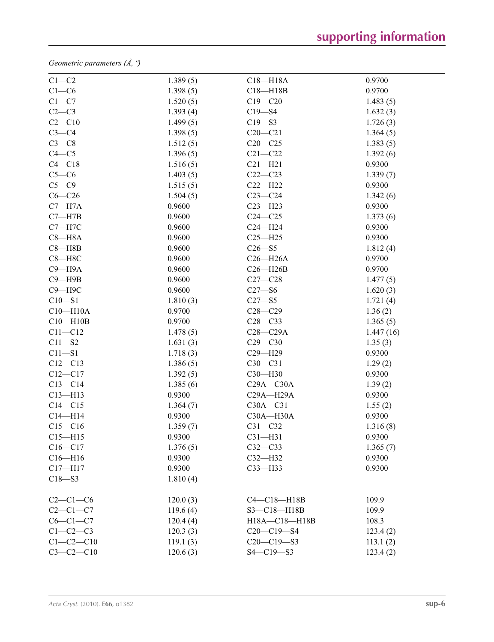*Geometric parameters (Å, º)*

| $C1-C2$         | 1.389(5) | $C18 - H18A$      | 0.9700    |  |
|-----------------|----------|-------------------|-----------|--|
| $C1-C6$         | 1.398(5) | $C18 - H18B$      | 0.9700    |  |
| $C1-C7$         | 1.520(5) | $C19 - C20$       | 1.483(5)  |  |
| $C2-C3$         | 1.393(4) | $C19 - S4$        | 1.632(3)  |  |
| $C2-C10$        | 1.499(5) | $C19 - S3$        | 1.726(3)  |  |
| $C3-C4$         | 1.398(5) | $C20 - C21$       | 1.364(5)  |  |
| $C3-C8$         | 1.512(5) | $C20-C25$         | 1.383(5)  |  |
| $C4 - C5$       | 1.396(5) | $C21 - C22$       | 1.392(6)  |  |
| $C4 - C18$      | 1.516(5) | $C21 - H21$       | 0.9300    |  |
| $C5-C6$         | 1.403(5) | $C22-C23$         | 1.339(7)  |  |
| $C5 - C9$       | 1.515(5) | $C22-H22$         | 0.9300    |  |
| $C6-C26$        | 1.504(5) | $C23-C24$         | 1.342(6)  |  |
| $C7 - H7A$      | 0.9600   | $C23 - H23$       | 0.9300    |  |
| $C7 - H7B$      | 0.9600   | $C24 - C25$       | 1.373(6)  |  |
| $C7 - H7C$      | 0.9600   | $C24 - H24$       | 0.9300    |  |
| $C8 - H8A$      | 0.9600   | $C25 - H25$       | 0.9300    |  |
| $C8 - H8B$      | 0.9600   | $C26 - S5$        | 1.812(4)  |  |
| $C8 - H8C$      | 0.9600   | $C26 - H26A$      | 0.9700    |  |
| $C9 - H9A$      | 0.9600   | $C26 - H26B$      | 0.9700    |  |
| $C9 - H9B$      | 0.9600   | $C27-C28$         | 1.477(5)  |  |
| $C9 - H9C$      | 0.9600   | $C27 - S6$        | 1.620(3)  |  |
| $C10 - S1$      | 1.810(3) | $C27 - S5$        | 1.721(4)  |  |
| $C10 - H10A$    | 0.9700   | $C28 - C29$       | 1.36(2)   |  |
| $C10 - H10B$    | 0.9700   | $C28-C33$         | 1.365(5)  |  |
| $C11 - C12$     | 1.478(5) | $C28 - C29A$      | 1.447(16) |  |
| $C11 - S2$      | 1.631(3) | $C29 - C30$       | 1.35(3)   |  |
| $C11 - S1$      | 1.718(3) | $C29 - H29$       | 0.9300    |  |
| $C12 - C13$     | 1.386(5) | $C30 - C31$       | 1.29(2)   |  |
| $C12 - C17$     | 1.392(5) | $C30 - H30$       | 0.9300    |  |
| $C13-C14$       | 1.385(6) | $C29A - C30A$     | 1.39(2)   |  |
| $C13 - H13$     | 0.9300   | $C29A - H29A$     | 0.9300    |  |
| $C14 - C15$     | 1.364(7) | $C30A - C31$      | 1.55(2)   |  |
| $C14 - H14$     | 0.9300   | $C30A - H30A$     | 0.9300    |  |
| $C15-C16$       | 1.359(7) | $C31 - C32$       | 1.316(8)  |  |
| $C15 - H15$     | 0.9300   | $C31 - H31$       | 0.9300    |  |
| $C16 - C17$     | 1.376(5) | $C32-C33$         | 1.365(7)  |  |
| $C16 - H16$     | 0.9300   | $C32-H32$         | 0.9300    |  |
| $C17 - H17$     | 0.9300   | $C33 - H33$       | 0.9300    |  |
| $C18 - S3$      | 1.810(4) |                   |           |  |
| $C2-C1-C6$      | 120.0(3) | $C4-C18-H18B$     | 109.9     |  |
| $C2-C1-C7$      | 119.6(4) | $S3 - C18 - H18B$ | 109.9     |  |
| $C6-C1-C7$      | 120.4(4) | H18A-C18-H18B     | 108.3     |  |
| $C1-C2-C3$      | 120.3(3) | $C20-C19-S4$      | 123.4(2)  |  |
| $C1 - C2 - C10$ | 119.1(3) | $C20-C19-S3$      | 113.1(2)  |  |
| $C3-C2-C10$     | 120.6(3) | $S4 - C19 - S3$   | 123.4(2)  |  |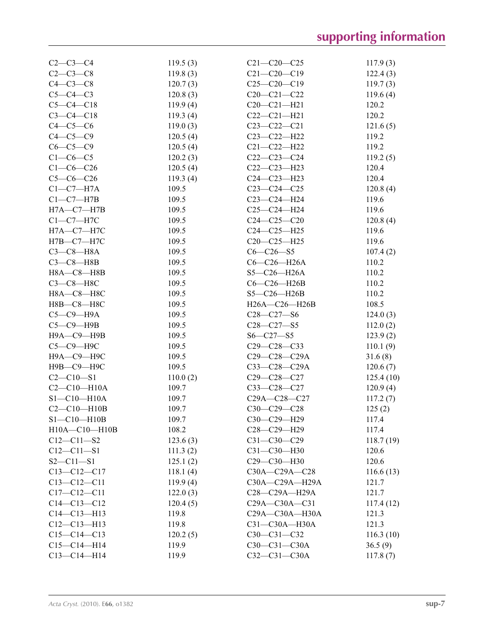| $C2-C3-C4$          | 119.5(3) | $C21 - C20 - C25$ | 117.9(3)  |
|---------------------|----------|-------------------|-----------|
| $C2-C3-C8$          | 119.8(3) | $C21 - C20 - C19$ | 122.4(3)  |
| $C4-C3-C8$          | 120.7(3) | $C25-C20-C19$     | 119.7(3)  |
| $C5-C4-C3$          | 120.8(3) | $C20-C21-C22$     | 119.6(4)  |
| $C5-C4-C18$         | 119.9(4) | $C20 - C21 - H21$ | 120.2     |
| $C3 - C4 - C18$     | 119.3(4) | $C22-C21-H21$     | 120.2     |
| $C4-C5-C6$          | 119.0(3) | $C23 - C22 - C21$ | 121.6(5)  |
| $C4-C5-C9$          | 120.5(4) | $C23-C22-H22$     | 119.2     |
| $C6 - C5 - C9$      | 120.5(4) | $C21 - C22 - H22$ | 119.2     |
| $C1-C6-C5$          | 120.2(3) | $C22-C23-C24$     | 119.2(5)  |
| $C1 - C6 - C26$     | 120.5(4) | $C22-C23-H23$     | 120.4     |
| $C5-C6-C26$         | 119.3(4) | $C24 - C23 - H23$ | 120.4     |
| $C1-C7-H7A$         | 109.5    | $C23-C24-C25$     | 120.8(4)  |
| $C1-C7-H7B$         | 109.5    | C23-C24-H24       | 119.6     |
| $H7A - C7 - H7B$    | 109.5    | $C25-C24-H24$     | 119.6     |
| $C1-C7-H7C$         | 109.5    | $C24 - C25 - C20$ | 120.8(4)  |
| $H7A - C7 - H7C$    | 109.5    | $C24 - C25 - H25$ | 119.6     |
| $H7B-C7-H7C$        | 109.5    | C20-C25-H25       | 119.6     |
| $C3-C8-H8A$         | 109.5    | $C6 - C26 - S5$   | 107.4(2)  |
| $C3-C8$ -H8B        | 109.5    | $C6-C26-H26A$     | 110.2     |
| H8A-C8-H8B          | 109.5    | $S5-C26-H26A$     | 110.2     |
| $C3-C8-H8C$         | 109.5    | $C6-C26-H26B$     | 110.2     |
| Н8А-С8-Н8С          | 109.5    | $S5-C26-H26B$     | 110.2     |
| Н8В-С8-Н8С          | 109.5    | H26A-C26-H26B     | 108.5     |
|                     |          | $C28 - C27 - S6$  |           |
| $C5-C9-H9A$         | 109.5    |                   | 124.0(3)  |
| $C5 - C9 - H9B$     | 109.5    | $C28 - C27 - S5$  | 112.0(2)  |
| Н9А-С9-Н9В          | 109.5    | $S6 - C27 - S5$   | 123.9(2)  |
| С5-С9-Н9С           | 109.5    | $C29 - C28 - C33$ | 110.1(9)  |
| Н9А-С9-Н9С          | 109.5    | C29-C28-C29A      | 31.6(8)   |
| Н9В-С9-Н9С          | 109.5    | C33-C28-C29A      | 120.6(7)  |
| $C2 - C10 - S1$     | 110.0(2) | $C29 - C28 - C27$ | 125.4(10) |
| $C2 - C10 - H10A$   | 109.7    | $C33-C28-C27$     | 120.9(4)  |
| $S1 - C10 - H10A$   | 109.7    | C29A-C28-C27      | 117.2(7)  |
| $C2 - C10 - H10B$   | 109.7    | C30-C29-C28       | 125(2)    |
| $S1 - C10 - H10B$   | 109.7    | C30-C29-H29       | 117.4     |
| $H10A - C10 - H10B$ | 108.2    | $C28 - C29 - H29$ | 117.4     |
| $C12 - C11 - S2$    | 123.6(3) | $C31 - C30 - C29$ | 118.7(19) |
| $C12 - C11 - S1$    | 111.3(2) | C31-C30-H30       | 120.6     |
| $S2 - C11 - S1$     | 125.1(2) | C29-C30-H30       | 120.6     |
| $C13-C12-C17$       | 118.1(4) | C30A-C29A-C28     | 116.6(13) |
| $C13 - C12 - C11$   | 119.9(4) | C30A-C29A-H29A    | 121.7     |
| $C17 - C12 - C11$   | 122.0(3) | $C28-C29A-H29A$   | 121.7     |
| $C14 - C13 - C12$   | 120.4(5) | C29A-C30A-C31     | 117.4(12) |
| $C14 - C13 - H13$   | 119.8    | C29A-C30A-H30A    | 121.3     |
| $C12-C13-H13$       | 119.8    | C31-C30A-H30A     | 121.3     |
| $C15-C14-C13$       | 120.2(5) | $C30-C31-C32$     | 116.3(10) |
| $C15-C14-H14$       | 119.9    | $C30-C31-C30A$    | 36.5(9)   |
| $C13 - C14 - H14$   | 119.9    | $C32-C31-C30A$    | 117.8(7)  |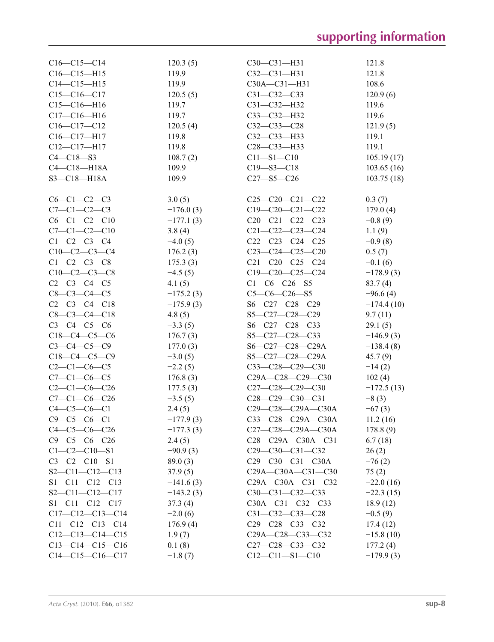| $C16-C15-C14$          | 120.3(5)    | $C30-C31-H31$                                                       | 121.8        |
|------------------------|-------------|---------------------------------------------------------------------|--------------|
| $C16-C15-H15$          | 119.9       | $C32-C31-H31$                                                       | 121.8        |
| $C14 - C15 - H15$      | 119.9       | $C30A - C31 - H31$                                                  | 108.6        |
| $C15-C16-C17$          | 120.5(5)    | $C31 - C32 - C33$                                                   | 120.9(6)     |
| $C15-C16-H16$          | 119.7       | $C31 - C32 - H32$                                                   | 119.6        |
| $C17 - C16 - H16$      | 119.7       | C33-C32-H32                                                         | 119.6        |
| $C16-C17-C12$          | 120.5(4)    | $C32-C33-C28$                                                       | 121.9(5)     |
| $C16-C17-H17$          | 119.8       | $C32-C33-H33$                                                       | 119.1        |
|                        |             |                                                                     |              |
| $C12-C17-H17$          | 119.8       | $C28 - C33 - H33$                                                   | 119.1        |
| $C4 - C18 - S3$        | 108.7(2)    | $C11 - S1 - C10$                                                    | 105.19(17)   |
| $C4 - C18 - H18A$      | 109.9       | $C19 - S3 - C18$                                                    | 103.65(16)   |
| $S3 - C18 - H18A$      | 109.9       | $C27 - S5 - C26$                                                    | 103.75(18)   |
| $C6-C1-C2-C3$          | 3.0(5)      | $C25-C20-C21-C22$                                                   | 0.3(7)       |
| $C7 - C1 - C2 - C3$    | $-176.0(3)$ | $C19-C20-C21-C22$                                                   | 179.0(4)     |
| $C6-C1-C2-C10$         | $-177.1(3)$ | $C20-C21-C22-C23$                                                   | $-0.8(9)$    |
| $C7-C1-C2-C10$         | 3.8(4)      | $C21 - C22 - C23 - C24$                                             | 1.1(9)       |
| $C1-C2-C3-C4$          | $-4.0(5)$   | $C22-C23-C24-C25$                                                   | $-0.9(8)$    |
| $C10-C2-C3-C4$         | 176.2(3)    | $C23-C24-C25-C20$                                                   | 0.5(7)       |
| $C1 - C2 - C3 - C8$    | 175.3(3)    | $C21 - C20 - C25 - C24$                                             |              |
| $C10-C2-C3-C8$         |             | $C19-C20-C25-C24$                                                   | $-0.1(6)$    |
|                        | $-4.5(5)$   |                                                                     | $-178.9(3)$  |
| $C2-C3-C4-C5$          | 4.1(5)      | $C1-C6-C26-S5$                                                      | 83.7(4)      |
| $C8 - C3 - C4 - C5$    | $-175.2(3)$ | $C5-C6-C26-S5$                                                      | $-96.6(4)$   |
| $C2-C3-C4-C18$         | $-175.9(3)$ | S6-C27-C28-C29                                                      | $-174.4(10)$ |
| $C8 - C3 - C4 - C18$   | 4.8(5)      | $S5-C27-C28-C29$                                                    | 9.7(11)      |
| $C3 - C4 - C5 - C6$    | $-3.3(5)$   | S6-C27-C28-C33                                                      | 29.1(5)      |
| $C18-C4-C5-C6$         | 176.7(3)    | $S5 - C27 - C28 - C33$                                              | $-146.9(3)$  |
| $C3 - C4 - C5 - C9$    | 177.0(3)    | S6-C27-C28-C29A                                                     | $-138.4(8)$  |
| $C18-C4-C5-C9$         | $-3.0(5)$   | $S5-C27-C28-C29A$                                                   | 45.7(9)      |
| $C2-C1-C6-C5$          | $-2.2(5)$   | $C33-C28-C29-C30$                                                   | $-14(2)$     |
| $C7 - C1 - C6 - C5$    | 176.8(3)    | $C29A - C28 - C29 - C30$                                            | 102(4)       |
| $C2-C1-C6-C26$         | 177.5(3)    | $C27-C28-C29-C30$                                                   | $-172.5(13)$ |
| $C7-C1-C6-C26$         | $-3.5(5)$   | $C28-C29-C30-C31$                                                   | $-8(3)$      |
| $C4 - C5 - C6 - C1$    | 2.4(5)      | C29-C28-C29A-C30A                                                   | $-67(3)$     |
| $C9 - C5 - C6 - C1$    | $-177.9(3)$ | C33-C28-C29A-C30A                                                   | 11.2(16)     |
| $C4-C5-C6-C26$         | $-177.3(3)$ | $C27-C28-C29A-C30A$                                                 | 178.8(9)     |
| $C9 - C5 - C6 - C26$   | 2.4(5)      | $C28-C29A-C30A-C31$                                                 | 6.7(18)      |
| $C1 - C2 - C10 - S1$   | $-90.9(3)$  | $C29-C30-C31-C32$                                                   | 26(2)        |
| $C3-C2-C10-S1$         | 89.0(3)     | $C29-C30-C31-C30A$                                                  | $-76(2)$     |
| $S2 - C11 - C12 - C13$ | 37.9(5)     | $C29A - C30A - C31 - C30$                                           |              |
|                        |             |                                                                     | 75(2)        |
| $S1 - C11 - C12 - C13$ | $-141.6(3)$ | $C29A - C30A - C31 - C32$                                           | $-22.0(16)$  |
| $S2 - C11 - C12 - C17$ | $-143.2(3)$ | $C30-C31-C32-C33$                                                   | $-22.3(15)$  |
| $S1 - C11 - C12 - C17$ | 37.3(4)     | $C30A - C31 - C32 - C33$                                            | 18.9(12)     |
| $C17-C12-C13-C14$      | $-2.0(6)$   | $C31 - C32 - C33 - C28$                                             | $-0.5(9)$    |
| $C11-C12-C13-C14$      | 176.9(4)    | $C29-C28-C33-C32$                                                   | 17.4(12)     |
| $C12-C13-C14-C15$      | 1.9(7)      | C <sub>29</sub> A-C <sub>28</sub> -C <sub>33</sub> -C <sub>32</sub> | $-15.8(10)$  |
| $C13-C14-C15-C16$      | 0.1(8)      | $C27-C28-C33-C32$                                                   | 177.2(4)     |
| $C14-C15-C16-C17$      | $-1.8(7)$   | $C12-C11-S1-C10$                                                    | $-179.9(3)$  |